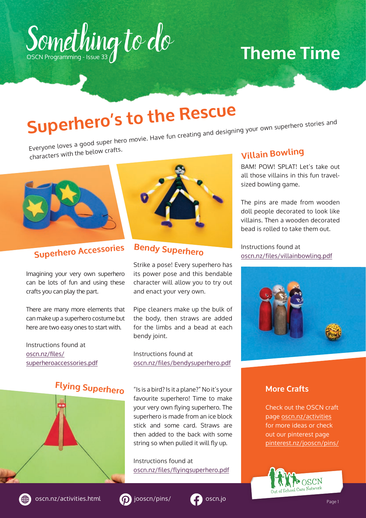

## **Theme Time**

# **Superhero's to the Rescue**

Everyone loves a good super hero movie. Have fun creating and designing your own superhero stories an<sup>d</sup>

characters with the below crafts.



## **Superhero Accessories**

Imagining your very own superhero can be lots of fun and using these crafts you can play the part.

There are many more elements that can make up a superhero costume but here are two easy ones to start with.

Instructions found at [oscn.nz/files/](http://oscn.nz/files/superheroaccessories.pdf) [superheroaccessories.pdf](http://oscn.nz/files/superheroaccessories.pdf)

## **Flying Superhero**



## **Bendy Superhero**

Strike a pose! Every superhero has its power pose and this bendable character will allow you to try out and enact your very own.

Pipe cleaners make up the bulk of the body, then straws are added for the limbs and a bead at each bendy joint.

Instructions found at [oscn.nz/files/bendysuperhero.pdf](http://oscn.nz/files/bendysuperhero.pdf
)

"Is is a bird? Is it a plane?" No it's your favourite superhero! Time to make your very own flying superhero. The superhero is made from an ice block stick and some card. Straws are then added to the back with some string so when pulled it will fly up.

Instructions found at [oscn.nz/files/flyingsuperhero.pdf](http://oscn.nz/files/flyingsuperhero.pdf
)

#### **Villain Bowling**

BAM! POW! SPLAT! Let's take out all those villains in this fun travelsized bowling game.

The pins are made from wooden doll people decorated to look like villains. Then a wooden decorated bead is rolled to take them out.

Instructions found at [oscn.nz/files/villainbowling.pdf](http://oscn.nz/files/villainbowling.pdf
)



#### **More Crafts**

Check out the OSCN craft page [oscn.nz/activities](http://www.oscn.nz/activities) for more ideas or check out our pinterest page [pinterest.nz/jooscn/pins/](https://www.pinterest.nz/jooscn/pins/)